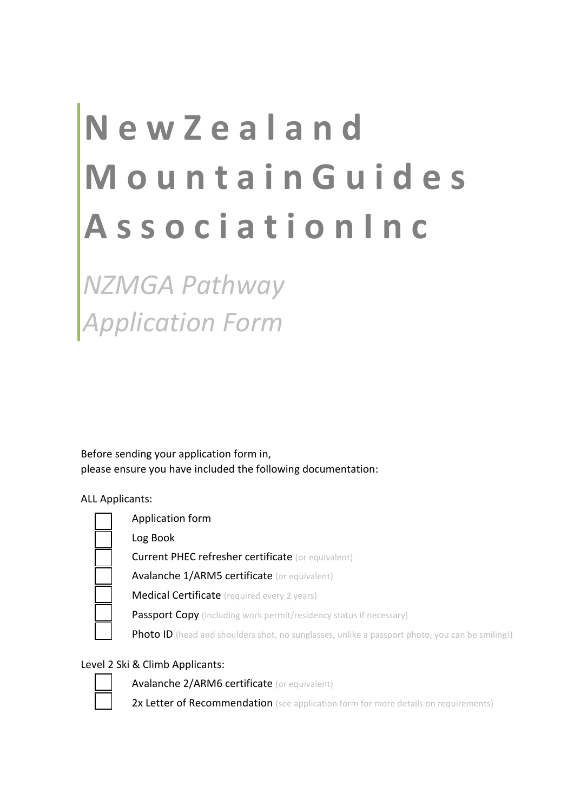# **N e w Z e a l a n d M o u n t a i n G u i d e s A s s o c i a t i o n I n c**

*NZMGA Pathway Application Form*

Before sending your application form in, please ensure you have included the following documentation:

ALL Applicants:



# Level 2 Ski & Climb Applicants:



Avalanche 2/ARM6 certificate (or equivalent)

2x Letter of Recommendation (see application form for more details on requirements)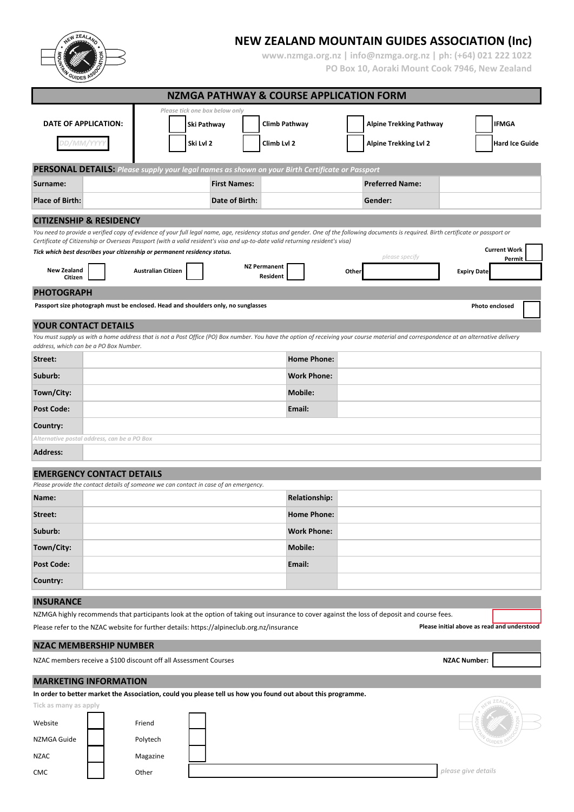**NEW ZEALAND MOUNTAIN GUIDES ASSOCIATION (Inc)**

**www.nzmga.org.nz | info@nzmga.org.nz | ph: (+64) 021 222 1022 PO Box 10, Aoraki Mount Cook 7946, New Zealand**

|                                                                                                                               |  |                           |             |                                |                                 | <b>NZMGA PATHWAY &amp; COURSE APPLICATION FORM</b> |       |                                                                                                                                                                                         |                     |                                             |
|-------------------------------------------------------------------------------------------------------------------------------|--|---------------------------|-------------|--------------------------------|---------------------------------|----------------------------------------------------|-------|-----------------------------------------------------------------------------------------------------------------------------------------------------------------------------------------|---------------------|---------------------------------------------|
|                                                                                                                               |  |                           |             | Please tick one box below only |                                 |                                                    |       |                                                                                                                                                                                         |                     |                                             |
| DATE OF APPLICATION:                                                                                                          |  |                           | Ski Pathway |                                | Climb Pathway                   |                                                    |       | <b>Alpine Trekking Pathway</b>                                                                                                                                                          |                     | <b>IFMGA</b>                                |
| DD/MM/YYYI                                                                                                                    |  |                           | Ski Lvl 2   |                                | Climb Lvl 2                     |                                                    |       | <b>Alpine Trekking Lvl 2</b>                                                                                                                                                            |                     | <b>Hard Ice Guide</b>                       |
| PERSONAL DETAILS: Please supply your legal names as shown on your Birth Certificate or Passport                               |  |                           |             |                                |                                 |                                                    |       |                                                                                                                                                                                         |                     |                                             |
| Surname:                                                                                                                      |  |                           |             | <b>First Names:</b>            |                                 |                                                    |       | <b>Preferred Name:</b>                                                                                                                                                                  |                     |                                             |
| <b>Place of Birth:</b>                                                                                                        |  |                           |             | Date of Birth:                 |                                 |                                                    |       | Gender:                                                                                                                                                                                 |                     |                                             |
|                                                                                                                               |  |                           |             |                                |                                 |                                                    |       |                                                                                                                                                                                         |                     |                                             |
| <b>CITIZENSHIP &amp; RESIDENCY</b>                                                                                            |  |                           |             |                                |                                 |                                                    |       | You need to provide a verified copy of evidence of your full legal name, age, residency status and gender. One of the following documents is required. Birth certificate or passport or |                     |                                             |
| Certificate of Citizenship or Overseas Passport (with a valid resident's visa and up-to-date valid returning resident's visa) |  |                           |             |                                |                                 |                                                    |       |                                                                                                                                                                                         |                     |                                             |
| Tick which best describes your citizenship or permanent residency status.                                                     |  |                           |             |                                |                                 |                                                    |       | please specify                                                                                                                                                                          |                     | <b>Current Work</b><br>Permit               |
| <b>New Zealand</b><br>Citizen                                                                                                 |  | <b>Australian Citizen</b> |             |                                | <b>NZ Permanent</b><br>Resident |                                                    | Other |                                                                                                                                                                                         | <b>Expiry Date</b>  |                                             |
| <b>PHOTOGRAPH</b>                                                                                                             |  |                           |             |                                |                                 |                                                    |       |                                                                                                                                                                                         |                     |                                             |
| Passport size photograph must be enclosed. Head and shoulders only, no sunglasses                                             |  |                           |             |                                |                                 |                                                    |       |                                                                                                                                                                                         |                     | Photo enclosed                              |
| <b>YOUR CONTACT DETAILS</b>                                                                                                   |  |                           |             |                                |                                 |                                                    |       | You must supply us with a home address that is not a Post Office (PO) Box number. You have the option of receiving your course material and correspondence at an alternative delivery   |                     |                                             |
| address, which can be a PO Box Number.                                                                                        |  |                           |             |                                |                                 |                                                    |       |                                                                                                                                                                                         |                     |                                             |
| Street:                                                                                                                       |  |                           |             |                                |                                 | <b>Home Phone:</b>                                 |       |                                                                                                                                                                                         |                     |                                             |
| Suburb:                                                                                                                       |  |                           |             |                                |                                 | <b>Work Phone:</b>                                 |       |                                                                                                                                                                                         |                     |                                             |
| Town/City:                                                                                                                    |  |                           |             |                                |                                 | <b>Mobile:</b>                                     |       |                                                                                                                                                                                         |                     |                                             |
| <b>Post Code:</b>                                                                                                             |  |                           |             |                                |                                 | Email:                                             |       |                                                                                                                                                                                         |                     |                                             |
| Country:                                                                                                                      |  |                           |             |                                |                                 |                                                    |       |                                                                                                                                                                                         |                     |                                             |
| Alternative postal address, can be a PO Box                                                                                   |  |                           |             |                                |                                 |                                                    |       |                                                                                                                                                                                         |                     |                                             |
| <b>Address:</b>                                                                                                               |  |                           |             |                                |                                 |                                                    |       |                                                                                                                                                                                         |                     |                                             |
| <b>EMERGENCY CONTACT DETAILS</b><br>Please provide the contact details of someone we can contact in case of an emergency.     |  |                           |             |                                |                                 |                                                    |       |                                                                                                                                                                                         |                     |                                             |
| Name:                                                                                                                         |  |                           |             |                                |                                 | <b>Relationship:</b>                               |       |                                                                                                                                                                                         |                     |                                             |
| Street:                                                                                                                       |  |                           |             |                                |                                 | <b>Home Phone:</b>                                 |       |                                                                                                                                                                                         |                     |                                             |
| Suburb:                                                                                                                       |  |                           |             |                                |                                 | <b>Work Phone:</b>                                 |       |                                                                                                                                                                                         |                     |                                             |
| Town/City:                                                                                                                    |  |                           |             |                                |                                 | <b>Mobile:</b>                                     |       |                                                                                                                                                                                         |                     |                                             |
| <b>Post Code:</b>                                                                                                             |  |                           |             |                                |                                 | Email:                                             |       |                                                                                                                                                                                         |                     |                                             |
| Country:                                                                                                                      |  |                           |             |                                |                                 |                                                    |       |                                                                                                                                                                                         |                     |                                             |
|                                                                                                                               |  |                           |             |                                |                                 |                                                    |       |                                                                                                                                                                                         |                     |                                             |
| <b>INSURANCE</b>                                                                                                              |  |                           |             |                                |                                 |                                                    |       | NZMGA highly recommends that participants look at the option of taking out insurance to cover against the loss of deposit and course fees.                                              |                     |                                             |
| Please refer to the NZAC website for further details: https://alpineclub.org.nz/insurance                                     |  |                           |             |                                |                                 |                                                    |       |                                                                                                                                                                                         |                     | Please initial above as read and understood |
| <b>NZAC MEMBERSHIP NUMBER</b>                                                                                                 |  |                           |             |                                |                                 |                                                    |       |                                                                                                                                                                                         |                     |                                             |
| NZAC members receive a \$100 discount off all Assessment Courses                                                              |  |                           |             |                                |                                 |                                                    |       |                                                                                                                                                                                         | <b>NZAC Number:</b> |                                             |
| <b>MARKETING INFORMATION</b>                                                                                                  |  |                           |             |                                |                                 |                                                    |       |                                                                                                                                                                                         |                     |                                             |
| In order to better market the Association, could you please tell us how you found out about this programme.                   |  |                           |             |                                |                                 |                                                    |       |                                                                                                                                                                                         |                     |                                             |
| Tick as many as apply                                                                                                         |  |                           |             |                                |                                 |                                                    |       |                                                                                                                                                                                         |                     |                                             |
| Website                                                                                                                       |  | Friend                    |             |                                |                                 |                                                    |       |                                                                                                                                                                                         |                     |                                             |
| NZMGA Guide                                                                                                                   |  | Polytech                  |             |                                |                                 |                                                    |       |                                                                                                                                                                                         |                     |                                             |
| <b>NZAC</b>                                                                                                                   |  | Magazine                  |             |                                |                                 |                                                    |       |                                                                                                                                                                                         |                     |                                             |
| CMC                                                                                                                           |  | Other                     |             |                                |                                 |                                                    |       |                                                                                                                                                                                         | please give details |                                             |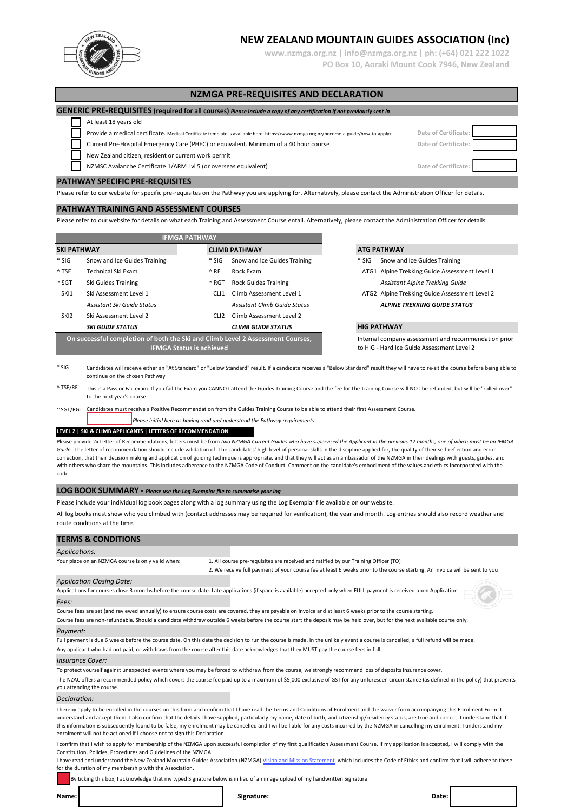

**www.nzmga.org.nz | info@nzmga.org.nz | ph: (+64) 021 222 1022 PO Box 10, Aoraki Mount Cook 7946, New Zealand**

## **NZMGA PRE-REQUISITES AND DECLARATION**

### **GENERIC PRE-REQUISITES (required for all courses)** *Please include a copy of any certification if not previously sent in*

#### At least 18 years old

Provide a medical certificate. Medical Certificate template is available here: https://www.nzmga.org.nz/become-a-guide/how-to-apply/ **Date of Certificate:**

Current Pre-Hospital Emergency Care (PHEC) or equivalent. Minimum of a 40 hour course **Date of Certificate:** 

New Zealand citizen, resident or current work permit

NZMSC Avalanche Certificate 1/ARM Lvl 5 (or overseas equivalent) **Date of Certificate:**

#### **PATHWAY SPECIFIC PRE-REQUISITES**

Please refer to our website for specific pre-requisites on the Pathway you are applying for. Alternatively, please contact the Administration Officer for details.

#### **PATHWAY TRAINING AND ASSESSMENT COURSES**

Please refer to our website for details on what each Training and Assessment Course entail. Alternatively, please contact the Administration Officer for details.

| <b>IFMGA PATHWAY</b>                                                           |                              |  |                      |                              |  |  |  |
|--------------------------------------------------------------------------------|------------------------------|--|----------------------|------------------------------|--|--|--|
| <b>SKI PATHWAY</b>                                                             |                              |  | <b>CLIMB PATHWAY</b> |                              |  |  |  |
| $*$ SIG                                                                        | Snow and Ice Guides Training |  | $*$ SIG              | Snow and Ice Guides Training |  |  |  |
| ^ TSE                                                                          | <b>Technical Ski Exam</b>    |  | ^ RE                 | Rock Exam                    |  |  |  |
| $~^{\sim}$ SGT                                                                 | Ski Guides Training          |  | $~^{\thicksim}$ RGT  | <b>Rock Guides Training</b>  |  |  |  |
| SK <sub>11</sub>                                                               | Ski Assessment Level 1       |  | CL 11                | Climb Assessment Level 1     |  |  |  |
|                                                                                | Assistant Ski Guide Status   |  |                      | Assistant Climb Guide Status |  |  |  |
| SKI <sub>2</sub>                                                               | Ski Assessment Level 2       |  | CLI <sub>2</sub>     | Climb Assessment Level 2     |  |  |  |
|                                                                                | <b>SKI GUIDE STATUS</b>      |  |                      | <b>CLIMB GUIDE STATUS</b>    |  |  |  |
| On successful completion of both the Ski and Climb Level 2 Assessment Courses, |                              |  |                      |                              |  |  |  |
| <b>IFMGA Status is achieved</b>                                                |                              |  |                      |                              |  |  |  |

## **SKI PATHWAY CLIMB PATHWAY ATG PATHWAY**

- \* SIG Snow and Ice Guides Training
- ATG1 Alpine Trekking Guide Assessment Level 1  $A$ ssistant Alpine Trekking Guide
- ATG2 Alpine Trekking Guide Assessment Level 2 *Assistant Ski Guide Status Assistant Climb Guide Status ALPINE TREKKING GUIDE STATUS*

#### *SKI GUIDE STATUS CLIMB GUIDE STATUS* **HIG PATHWAY**

Internal company assessment and recommendation prior to HIG - Hard Ice Guide Assessment Level 2

 $*$  SIG Candidates will receive either an "At Standard" or "Below Standard" result. If a candidate receives a "Below Standard" result they will have to re-sit the course before being able to continue on the chosen Pathway

<sup>^</sup> TSE/RE This is a Pass or Fail exam. If you fail the Exam you CANNOT attend the Guides Training Course and the fee for the Training Course will NOT be refunded, but will be "rolled over" to the next year's course

~ SGT/RGT Candidates must receive a Positive Recommendation from the Guides Training Course to be able to attend their first Assessment Course.

*Please initial here as having read and understood the Pathway requirements*

## **LEVEL 2 | SKI & CLIMB APPLICANTS | LETTERS OF RECOMMENDATION**

Please provide 2x Letter of Recommendations; letters must be from *two NZMGA Current Guides who have supervised the Applicant in the previous 12 months, one of which must be an IFMGA*  Guide. The letter of recommendation should include validation of: The candidates' high level of personal skills in the discipline applied for, the quality of their self-reflection and error correction, that their decision making and application of guiding technique is appropriate, and that they will act as an ambassador of the NZMGA in their dealings with guests, guides, and with others who share the mountains. This includes adherence to the NZMGA Code of Conduct. Comment on the candidate's embodiment of the values and ethics incorporated with the code.

## **LOG BOOK SUMMARY -** *Please use the Log Exemplar file to summarise your log*

Please include your individual log book pages along with a log summary using the Log Exemplar file available on our website.

All log books must show who you climbed with (contact addresses may be required for verification), the year and month. Log entries should also record weather and route conditions at the time.

#### **TERMS & CONDITIONS**

| <b>Applications:</b>                              |                                                                                                                             |
|---------------------------------------------------|-----------------------------------------------------------------------------------------------------------------------------|
| Your place on an NZMGA course is only valid when: | 1. All course pre-requisites are received and ratified by our Training Officer (TO)                                         |
|                                                   | 2. We receive full payment of your course fee at least 6 weeks prior to the course starting. An invoice will be sent to you |
| $A = \frac{1}{2}$                                 |                                                                                                                             |

#### *Application Closing Date:*

Applications for courses close 3 months before the course date. Late applications (if space is available) accepted only when FULL payment is received upon Application *Fees:*

Course fees are set (and reviewed annually) to ensure course costs are covered, they are payable on invoice and at least 6 weeks prior to the course starting.

Course fees are non-refundable. Should a candidate withdraw outside 6 weeks before the course start the deposit may be held over, but for the next available course only.

### *Payment:*

Full payment is due 6 weeks before the course date. On this date the decision to run the course is made. In the unlikely event a course is cancelled, a full refund will be made. Any applicant who had not paid, or withdraws from the course after this date acknowledges that they MUST pay the course fees in full.

#### *Insurance Cover:*

To protect yourself against unexpected events where you may be forced to withdraw from the course, we strongly recommend loss of deposits insurance cover.

The NZAC offers a recommended policy which covers the course fee paid up to a maximum of \$5,000 exclusive of GST for any unforeseen circumstance (as defined in the policy) that prevents you attending the course.

#### *Declaration:*

I hereby apply to be enrolled in the courses on this form and confirm that I have read the Terms and Conditions of Enrolment and the waiver form accompanying this Enrolment Form. I understand and accept them. I also confirm that the details I have supplied, particularly my name, date of birth, and citizenship/residency status, are true and correct. I understand that if this information is subsequently found to be false, my enrolment may be cancelled and I will be liable for any costs incurred by the NZMGA in cancelling my enrolment. I understand my enrolment will not be actioned if I choose not to sign this Declaration.

I confirm that I wish to apply for membership of the NZMGA upon successful completion of my first qualification Assessment Course. If my application is accepted, I will comply with the Constitution, Policies, Procedures and Guidelines of the NZMGA.

I have read and understood the New Zealand Mountain Guides Association (NZMGA) [Vision and Mission Statement](https://www.nzmga.org.nz/about/who-we-are/vision-and-mission/), which includes the Code of Ethics and confirm that I will adhere to these for the duration of my membership with the Association.

By ticking this box, I acknowledge that my typed Signature below is in lieu of an image upload of my handwritten Signature

**Date:**